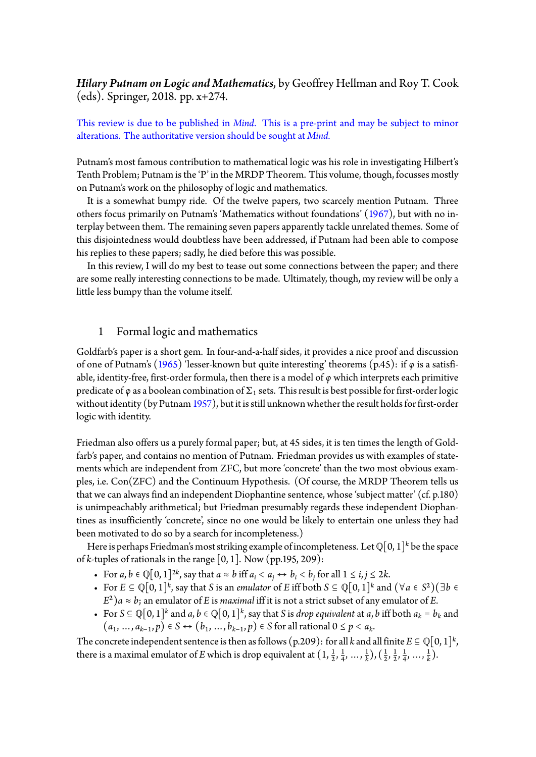## *Hilary Putnam on Logic and Mathematics*, by Geoffrey Hellman and Roy T. Cook (eds). Springer, 2018. pp. x+274.

This review is due to be published in *Mind*. This is a pre-print and may be subject to minor alterations. The authoritative version should be sought at *Mind.*

Putnam's most famous contribution to mathematical logic was his role in investigating Hilbert's Tenth Problem; Putnam is the 'P' in the MRDP Theorem. This volume, though, focusses mostly on Putnam's work on the philosophy of logic and mathematics.

It is a somewhat bumpy ride. Of the twelve papers, two scarcely mention Putnam. Three others focus primarily on Putnam's 'Mathematics without foundations' (1967), but with no interplay between them. The remaining seven papers apparently tackle unrelated themes. Some of this disjointedness would doubtless have been addressed, if Putnam had been able to compose his replies to these papers; sadly, he died before this was possible.

In this review, I will do my best to tease out some connections betwe[en the](#page-7-0) paper; and there are some really interesting connections to be made. Ultimately, though, my review will be only a little less bumpy than the volume itself.

## 1 Formal logic and mathematics

Goldfarb's paper is a short gem. In four-and-a-half sides, it provides a nice proof and discussion of one of Putnam's (1965) 'lesser-known but quite interesting' theorems (p.45): if *φ* is a satisfiable, identity-free, first-order formula, then there is a model of *φ* which interprets each primitive predicate of  $\varphi$  as a boolean combination of  $\Sigma_1$  sets. This result is best possible for first-order logic without identity (by [Putn](#page-7-1)am 1957), but it is still unknown whether the result holds for first-order logic with identity.

Friedman also offers us a pur[ely fo](#page-7-2)rmal paper; but, at 45 sides, it is ten times the length of Goldfarb's paper, and contains no mention of Putnam. Friedman provides us with examples of statements which are independent from ZFC, but more 'concrete' than the two most obvious examples, i.e. Con(ZFC) and the Continuum Hypothesis. (Of course, the MRDP Theorem tells us that we can always find an independent Diophantine sentence, whose 'subject matter' (cf. p.180) is unimpeachably arithmetical; but Friedman presumably regards these independent Diophantines as insufficiently 'concrete', since no one would be likely to entertain one unless they had been motivated to do so by a search for incompleteness.)

Here is perhaps Friedman's most striking example of incompleteness. Let  $\mathbb{Q}[0,1]^k$  be the space of *k*-tuples of rationals in the range [0, 1]. Now (pp.195, 209):

- For *a*, *b* ∈  $\mathbb{Q}[0, 1]^{2k}$ , say that *a* ≈ *b* iff *a*<sub>*i*</sub> < *a*<sub>*j*</sub> ↔ *b*<sub>*i*</sub> < *b*<sub>*j*</sub> for all  $1 \le i, j \le 2k$ .
- For  $E \subseteq \mathbb{Q}[0,1]^k$ , say that *S* is an *emulator* of *E* iff both  $S \subseteq \mathbb{Q}[0,1]^k$  and  $(\forall a \in S^2)(\exists b \in S^2)$  $E^2$ ) $a \approx b$ ; an emulator of *E* is *maximal* iff it is not a strict subset of any emulator of *E*.
- For *S* ⊆ Q[0, 1]<sup>*k*</sup> and *a*, *b* ∈ Q[0, 1]<sup>*k*</sup>, say that *S* is *drop equivalent* at *a*, *b* iff both *a<sub><i>k*</sub> = *b*<sub>*k*</sub> and  $(a_1, ..., a_{k-1}, p) \in S \leftrightarrow (b_1, ..., b_{k-1}, p) \in S$  for all rational 0 ≤ *p* < *a*<sub>k</sub>.

The concrete independent sentence is then as follows (p.209): for all *k* and all finite  $E \subseteq \mathbb{Q}[0,1]^k$ , there is a maximal emulator of *E* which is drop equivalent at  $(1, \frac{1}{2}, \frac{1}{4})$  $\frac{1}{4}, ..., \frac{1}{k}$  $(\frac{1}{k}), (\frac{1}{2})$  $\frac{1}{2}$ ,  $\frac{1}{2}$  $\frac{1}{2}$ ,  $\frac{1}{4}$  $\frac{1}{4}, \ldots, \frac{1}{k}$  $\frac{1}{k}$ ).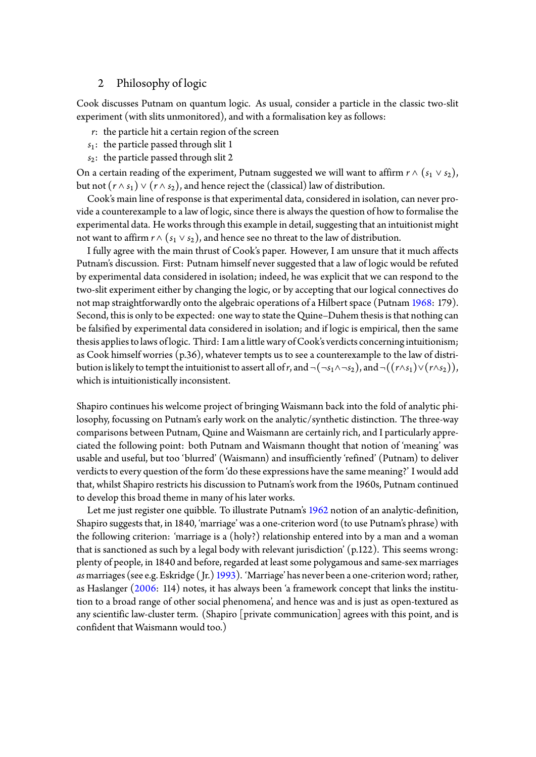### 2 Philosophy of logic

Cook discusses Putnam on quantum logic. As usual, consider a particle in the classic two-slit experiment (with slits unmonitored), and with a formalisation key as follows:

- *r*: the particle hit a certain region of the screen
- *s*1: the particle passed through slit 1
- *s*2: the particle passed through slit 2

On a certain reading of the experiment, Putnam suggested we will want to affirm  $r \wedge (s_1 \vee s_2)$ , but not  $(r \wedge s_1) \vee (r \wedge s_2)$ , and hence reject the (classical) law of distribution.

Cook's main line of response is that experimental data, considered in isolation, can never provide a counterexample to a law of logic, since there is always the question of how to formalise the experimental data. He works through this example in detail, suggesting that an intuitionist might not want to affirm  $r \wedge (s_1 \vee s_2)$ , and hence see no threat to the law of distribution.

I fully agree with the main thrust of Cook's paper. However, I am unsure that it much affects Putnam's discussion. First: Putnam himself never suggested that a law of logic would be refuted by experimental data considered in isolation; indeed, he was explicit that we can respond to the two-slit experiment either by changing the logic, or by accepting that our logical connectives do not map straightforwardly onto the algebraic operations of a Hilbert space (Putnam 1968: 179). Second, this is only to be expected: one way to state the Quine–Duhem thesis is that nothing can be falsified by experimental data considered in isolation; and if logic is empirical, then the same thesis appliesto laws of logic. Third: I am a little wary of Cook's verdicts concerning i[ntuitio](#page-7-3)nism; as Cook himself worries (p.36), whatever tempts us to see a counterexample to the law of distribution is likely to tempt the intuitionist to assert all of *r*, and  $\neg(\neg s_1 \land \neg s_2)$ , and  $\neg((r \land s_1) \lor (r \land s_2))$ , which is intuitionistically inconsistent.

Shapiro continues his welcome project of bringing Waismann back into the fold of analytic philosophy, focussing on Putnam's early work on the analytic/synthetic distinction. The three-way comparisons between Putnam, Quine and Waismann are certainly rich, and I particularly appreciated the following point: both Putnam and Waismann thought that notion of 'meaning' was usable and useful, but too 'blurred' (Waismann) and insufficiently 'refined' (Putnam) to deliver verdicts to every question of the form 'do these expressions have the same meaning?' I would add that, whilst Shapiro restricts his discussion to Putnam's work from the 1960s, Putnam continued to develop this broad theme in many of his later works.

Let me just register one quibble. To illustrate Putnam's 1962 notion of an analytic-definition, Shapiro suggests that, in 1840, 'marriage' was a one-criterion word (to use Putnam's phrase) with the following criterion: 'marriage is a (holy?) relationship entered into by a man and a woman that is sanctioned as such by a legal body with relevant jur[isdict](#page-7-4)ion' (p.122). This seems wrong: plenty of people, in 1840 and before, regarded at least some polygamous and same-sex marriages *as*marriages (see e.g. Eskridge ( Jr.) 1993). 'Marriage' has never been a one-criterion word; rather, as Haslanger (2006: 114) notes, it has always been 'a framework concept that links the institution to a broad range of other social phenomena', and hence was and is just as open-textured as any scientific law-cluster term. (S[hapiro](#page-7-5) [private communication] agrees with this point, and is confident that [Waism](#page-7-6)ann would too.)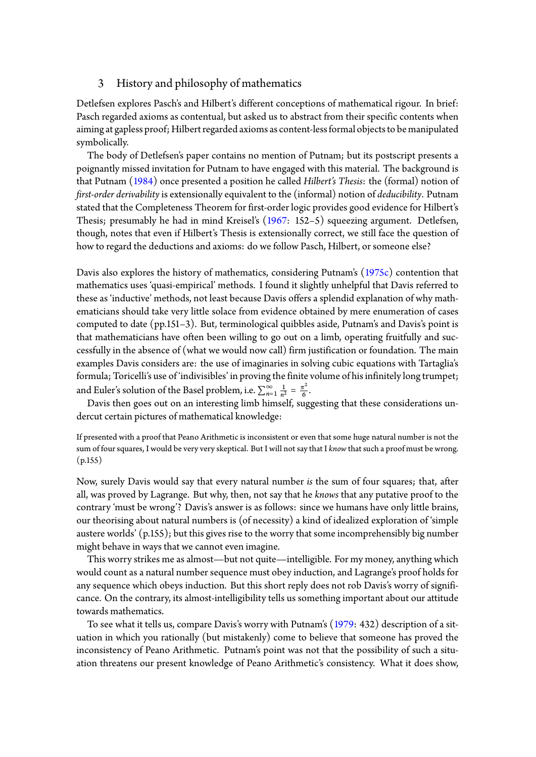#### 3 History and philosophy of mathematics

Detlefsen explores Pasch's and Hilbert's different conceptions of mathematical rigour. In brief: Pasch regarded axioms as contentual, but asked us to abstract from their specific contents when aiming at gapless proof; Hilbert regarded axioms as content-less formal objects to be manipulated symbolically.

The body of Detlefsen's paper contains no mention of Putnam; but its postscript presents a poignantly missed invitation for Putnam to have engaged with this material. The background is that Putnam (1984) once presented a position he called *Hilbert's Thesis*: the (formal) notion of *first-order derivability*is extensionally equivalent to the (informal) notion of *deducibility*. Putnam stated that the Completeness Theorem for first-order logic provides good evidence for Hilbert's Thesis; presu[mably](#page-7-7) he had in mind Kreisel's (1967: 152–5) squeezing argument. Detlefsen, though, notes that even if Hilbert's Thesis is extensionally correct, we still face the question of how to regard the deductions and axioms: do we follow Pasch, Hilbert, or someone else?

Davis also explores the history of mathematics[, cons](#page-7-8)idering Putnam's (1975c) contention that mathematics uses 'quasi-empirical' methods. I found it slightly unhelpful that Davis referred to these as 'inductive' methods, not least because Davis offers a splendid explanation of why mathematicians should take very little solace from evidence obtained by me[re enum](#page-7-9)eration of cases computed to date (pp.151–3). But, terminological quibbles aside, Putnam's and Davis's point is that mathematicians have often been willing to go out on a limb, operating fruitfully and successfully in the absence of (what we would now call) firm justification or foundation. The main examples Davis considers are: the use of imaginaries in solving cubic equations with Tartaglia's formula; Toricelli's use of 'indivisibles' in proving the finite volume of his infinitely long trumpet; and Euler's solution of the Basel problem, i.e.  $\sum_{n=1}^{\infty} \frac{1}{n^2}$  $rac{1}{n^2} = \frac{\pi^2}{6}$  $\frac{1}{6}$ .

Davis then goes out on an interesting limb himself, suggesting that these considerations undercut certain pictures of mathematical knowledge:

If presented with a proof that Peano Arithmetic is inconsistent or even that some huge natural number is not the sum of four squares, I would be very very skeptical. But I will not say that I *know* that such a proof must be wrong. (p.155)

Now, surely Davis would say that every natural number *is* the sum of four squares; that, after all, was proved by Lagrange. But why, then, not say that he *knows* that any putative proof to the contrary 'must be wrong'? Davis's answer is as follows: since we humans have only little brains, our theorising about natural numbers is (of necessity) a kind of idealized exploration of 'simple austere worlds' (p.155); but this gives rise to the worry that some incomprehensibly big number might behave in ways that we cannot even imagine.

This worry strikes me as almost—but not quite—intelligible. For my money, anything which would count as a natural number sequence must obey induction, and Lagrange's proof holds for any sequence which obeys induction. But this short reply does not rob Davis's worry of significance. On the contrary, its almost-intelligibility tells us something important about our attitude towards mathematics.

To see what it tells us, compare Davis's worry with Putnam's (1979: 432) description of a situation in which you rationally (but mistakenly) come to believe that someone has proved the inconsistency of Peano Arithmetic. Putnam's point was not that the possibility of such a situation threatens our present knowledge of Peano Arithmetic's c[onsist](#page-7-10)ency. What it does show,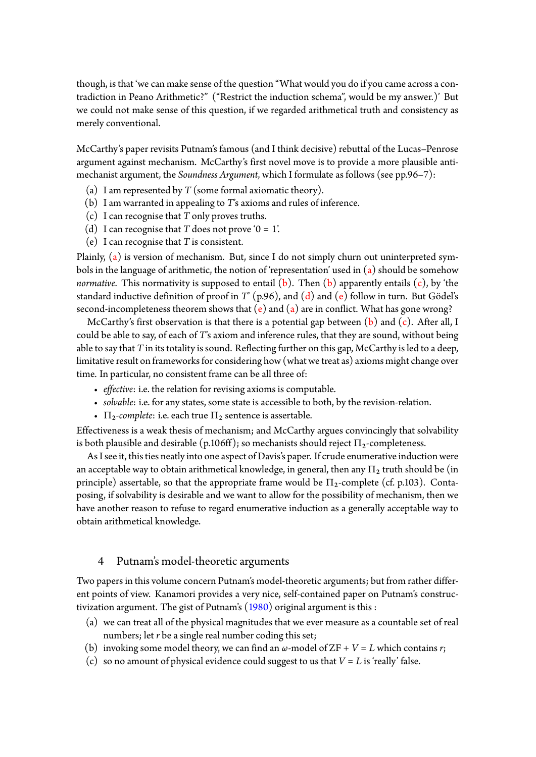though, is that 'we can make sense of the question "What would you do if you came across a contradiction in Peano Arithmetic?" ("Restrict the induction schema", would be my answer.)' But we could not make sense of this question, if we regarded arithmetical truth and consistency as merely conventional.

McCarthy's paper revisits Putnam's famous (and I think decisive) rebuttal of the Lucas–Penrose argument against mechanism. McCarthy's first novel move is to provide a more plausible antimechanist argument, the *Soundness Argument*, which I formulate as follows (see pp.96–7):

- (a) I am represented by *T* (some formal axiomatic theory).
- (b) I am warranted in appealing to *T*'s axioms and rules of inference.
- (c) I can recognise that *T* only proves truths.
- <span id="page-3-0"></span>(d) I can recognise that  $T$  does not prove ' $0 = 1$ '.
- <span id="page-3-1"></span>(e) I can recognise that *T* is consistent.

<span id="page-3-4"></span><span id="page-3-3"></span><span id="page-3-2"></span>Plainly, (a) is version of mechanism. But, since I do not simply churn out uninterpreted symbols in the language of arithmetic, the notion of 'representation' used in (a) should be somehow *normative*. This normativity is supposed to entail  $(b)$ . Then  $(b)$  apparently entails  $(c)$ , by 'the standard [in](#page-3-0)ductive definition of proof in *T*' (p.96), and (d) and (e) follow in turn. But Gödel's second-incompleteness theorem shows that (e) and (a) are in conflict. [Wh](#page-3-0)at has gone wrong?

McCarthy's first observation is that there is a po[te](#page-3-1)ntial gap [b](#page-3-1)etween  $(b)$  and  $(c)$ . [A](#page-3-2)fter all, I could be able to say, of each of *T*'s axiom and inference r[ule](#page-3-3)s, that [th](#page-3-4)ey are sound, without being able to say that *T* in its totality is sound. Refle[ct](#page-3-4)ing fur[th](#page-3-0)er on this gap, McCarthy is led to a deep, limitative result on frameworks for considering how (what we treat as) axi[om](#page-3-1)s mig[ht](#page-3-2) change over time. In particular, no consistent frame can be all three of:

- *effective*: i.e. the relation for revising axioms is computable.
- *solvable*: i.e. for any states, some state is accessible to both, by the revision-relation.
- $\Pi_2$ -complete: i.e. each true  $\Pi_2$  sentence is assertable.

Effectiveness is a weak thesis of mechanism; and McCarthy argues convincingly that solvability is both plausible and desirable (p.106ff); so mechanists should reject  $\Pi_2$ -completeness.

As I see it, this ties neatly into one aspect of Davis's paper. If crude enumerative induction were an acceptable way to obtain arithmetical knowledge, in general, then any  $\Pi_2$  truth should be (in principle) assertable, so that the appropriate frame would be  $\Pi_2$ -complete (cf. p.103). Contaposing, if solvability is desirable and we want to allow for the possibility of mechanism, then we have another reason to refuse to regard enumerative induction as a generally acceptable way to obtain arithmetical knowledge.

#### 4 Putnam's model-theoretic arguments

Two papers in this volume concern Putnam's model-theoretic arguments; but from rather different points of view. Kanamori provides a very nice, self-contained paper on Putnam's constructivization argument. The gist of Putnam's  $(1980)$  original argument is this :

- (a) we can treat all of the physical magnitudes that we ever measure as a countable set of real numbers; let *r* be a single real number coding this set;
- (b) invoking some model theory, we ca[n find](#page-7-11) an  $\omega$ -model of ZF +  $V = L$  which contains *r*;
- <span id="page-3-5"></span>(c) so no amount of physical evidence could suggest to us that  $V = L$  is 'really' false.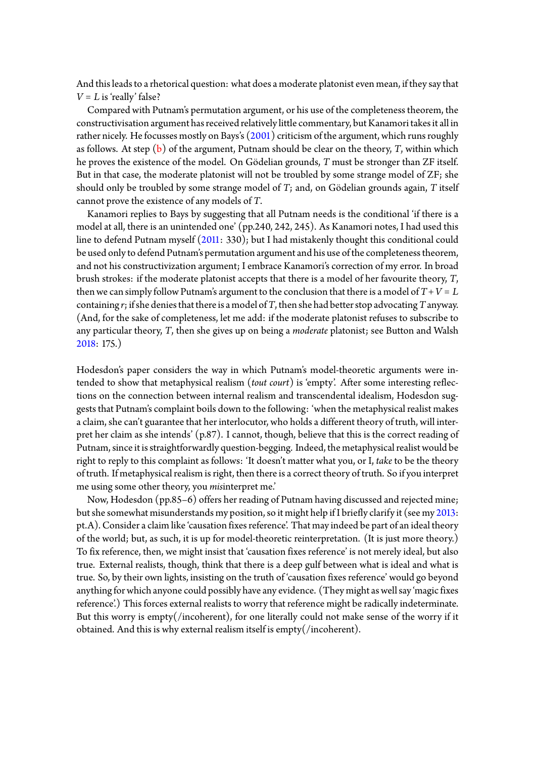And this leads to a rhetorical question: what does a moderate platonist even mean, if they say that  $V = L$  is 'really' false?

Compared with Putnam's permutation argument, or his use of the completeness theorem, the constructivisation argument has received relatively little commentary, but Kanamoritakes it all in rather nicely. He focusses mostly on Bays's (2001) criticism of the argument, which runs roughly as follows. At step (b) of the argument, Putnam should be clear on the theory, *T*, within which he proves the existence of the model. On Gödelian grounds, *T* must be stronger than ZF itself. But in that case, the moderate platonist wil[l not](#page-7-12) be troubled by some strange model of ZF; she should only be trou[bl](#page-3-5)ed by some strange model of *T*; and, on Gödelian grounds again, *T* itself cannot prove the existence of any models of *T*.

Kanamori replies to Bays by suggesting that all Putnam needs is the conditional 'if there is a model at all, there is an unintended one' (pp.240, 242, 245). As Kanamori notes, I had used this line to defend Putnam myself (2011: 330); but I had mistakenly thought this conditional could be used onlyto defend Putnam's permutation argument and his use ofthe completenesstheorem, and not his constructivization argument; I embrace Kanamori's correction of my error. In broad brush strokes: if the moderate [plato](#page-7-13)nist accepts that there is a model of her favourite theory, *T*, then we can simply follow Putnam's argument to the conclusion that there is a model of  $T + V = L$ containing *r*; if she denies that there is a model of *T*, then she had better stop advocating *T* anyway. (And, for the sake of completeness, let me add: if the moderate platonist refuses to subscribe to any particular theory, *T*, then she gives up on being a *moderate* platonist; see Button and Walsh 2018: 175.)

Hodesdon's paper considers the way in which Putnam's model-theoretic arguments were in[tende](#page-7-14)d to show that metaphysical realism (*tout court*) is 'empty'. After some interesting reflections on the connection between internal realism and transcendental idealism, Hodesdon suggests that Putnam's complaint boils down to the following: 'when the metaphysical realist makes a claim, she can't guarantee that her interlocutor, who holds a different theory of truth, will interpret her claim as she intends' (p.87). I cannot, though, believe that this is the correct reading of Putnam, since it is straightforwardly question-begging. Indeed, the metaphysical realist would be right to reply to this complaint as follows: 'It doesn't matter what you, or I, *take* to be the theory of truth. If metaphysical realism is right, then there is a correct theory of truth. So if you interpret me using some other theory, you *mis*interpret me.'

Now, Hodesdon (pp.85–6) offers her reading of Putnam having discussed and rejected mine; but she somewhat misunderstands my position, so it might help if I briefly clarify it (see my 2013: pt.A). Consider a claim like 'causation fixes reference'. That may indeed be part of an ideal theory of the world; but, as such, it is up for model-theoretic reinterpretation. (It is just more theory.) To fix reference, then, we might insist that 'causation fixes reference' is not merely ideal, b[ut also](#page-7-15) true. External realists, though, think that there is a deep gulf between what is ideal and what is true. So, by their own lights, insisting on the truth of 'causation fixes reference' would go beyond anything for which anyone could possibly have any evidence. (They might as well say 'magic fixes reference'.) This forces external realists to worry that reference might be radically indeterminate. But this worry is empty(/incoherent), for one literally could not make sense of the worry if it obtained. And this is why external realism itself is empty(/incoherent).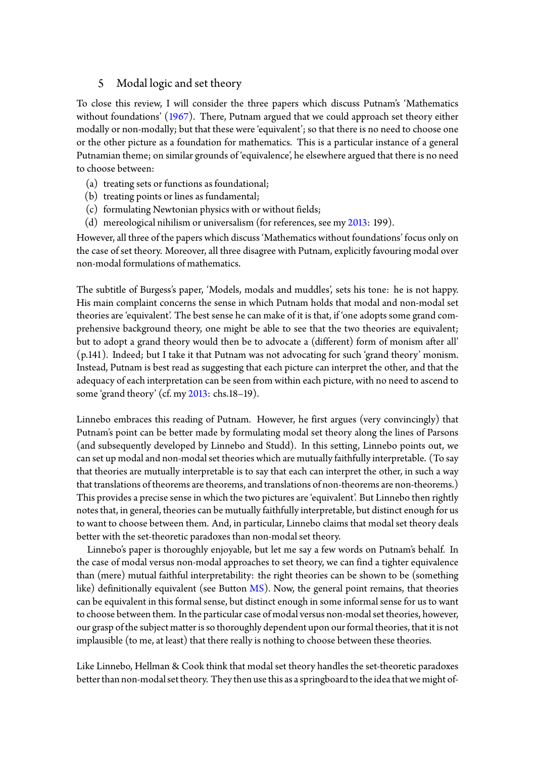## 5 Modal logic and set theory

To close this review, I will consider the three papers which discuss Putnam's 'Mathematics without foundations' (1967). There, Putnam argued that we could approach set theory either modally or non-modally; but that these were 'equivalent'; so that there is no need to choose one or the other picture as a foundation for mathematics. This is a particular instance of a general Putnamian theme; on [simila](#page-7-0)r grounds of 'equivalence', he elsewhere argued that there is no need to choose between:

- (a) treating sets or functions as foundational;
- (b) treating points or lines as fundamental;
- (c) formulating Newtonian physics with or without fields;
- (d) mereological nihilism or universalism (for references, see my 2013: 199).

However, all three of the papers which discuss 'Mathematics without foundations' focus only on the case of set theory. Moreover, all three disagree with Putnam, explicitly favouring modal over non-modal formulations of mathematics.

The subtitle of Burgess's paper, 'Models, modals and muddles', sets his tone: he is not happy. His main complaint concerns the sense in which Putnam holds that modal and non-modal set theories are 'equivalent'. The best sense he can make of it is that, if 'one adopts some grand comprehensive background theory, one might be able to see that the two theories are equivalent; but to adopt a grand theory would then be to advocate a (different) form of monism after all' (p.141). Indeed; but I take it that Putnam was not advocating for such 'grand theory' monism. Instead, Putnam is best read as suggesting that each picture can interpret the other, and that the adequacy of each interpretation can be seen from within each picture, with no need to ascend to some 'grand theory' (cf. my 2013: chs.18–19).

Linnebo embraces this reading of Putnam. However, he first argues (very convincingly) that Putnam's point can be bett[er mad](#page-7-15)e by formulating modal set theory along the lines of Parsons (and subsequently developed by Linnebo and Studd). In this setting, Linnebo points out, we can set up modal and non-modal set theories which are mutually faithfully interpretable. (To say that theories are mutually interpretable is to say that each can interpret the other, in such a way that translations of theorems are theorems, and translations of non-theorems are non-theorems.) This provides a precise sense in which the two pictures are 'equivalent'. But Linnebo then rightly notes that, in general, theories can be mutually faithfully interpretable, but distinct enough for us to want to choose between them. And, in particular, Linnebo claims that modal set theory deals better with the set-theoretic paradoxes than non-modal set theory.

Linnebo's paper is thoroughly enjoyable, but let me say a few words on Putnam's behalf. In the case of modal versus non-modal approaches to set theory, we can find a tighter equivalence than (mere) mutual faithful interpretability: the right theories can be shown to be (something like) definitionally equivalent (see Button  $\overline{MS}$ ). Now, the general point remains, that theories can be equivalent in this formal sense, but distinct enough in some informal sense for us to want to choose between them. In the particular case of modal versus non-modal set theories, however, our grasp of the subject matter is so thoroug[hly d](#page-7-16)ependent upon our formal theories, that it is not implausible (to me, at least) that there really is nothing to choose between these theories.

Like Linnebo, Hellman & Cook think that modal set theory handles the set-theoretic paradoxes better than non-modal set theory. They then use this as a springboard to the idea that we might of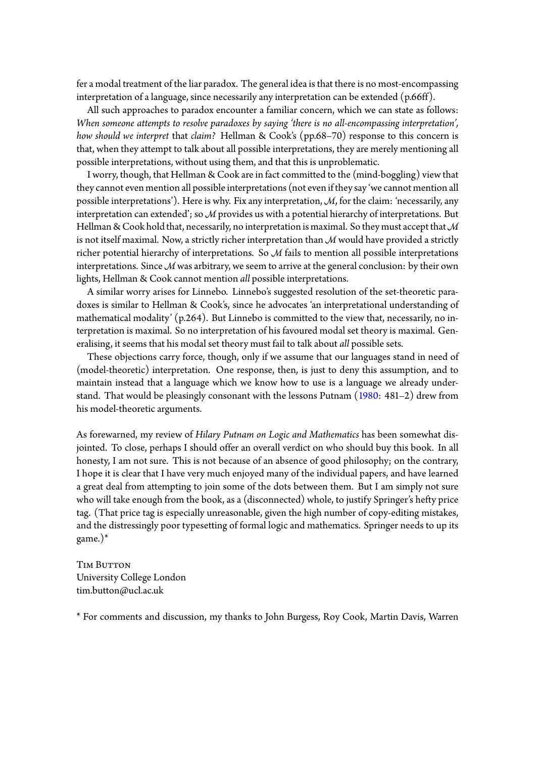fer a modal treatment of the liar paradox. The general idea is that there is no most-encompassing interpretation of a language, since necessarily any interpretation can be extended (p.66ff).

All such approaches to paradox encounter a familiar concern, which we can state as follows: *When someone attempts to resolve paradoxes by saying 'there is no all-encompassing interpretation', how should we interpret* that *claim?* Hellman & Cook's (pp.68–70) response to this concern is that, when they attempt to talk about all possible interpretations, they are merely mentioning all possible interpretations, without using them, and that this is unproblematic.

I worry, though, that Hellman & Cook are in fact committed to the (mind-boggling) view that they cannot even mention all possible interpretations (not even if they say 'we cannot mention all possible interpretations'). Here is why. Fix any interpretation, *M*, for the claim: 'necessarily, any interpretation can extended'; so *M* provides us with a potential hierarchy of interpretations. But Hellman & Cook hold that, necessarily, no interpretation is maximal. So they must accept that M is not itself maximal. Now, a strictly richer interpretation than *M* would have provided a strictly richer potential hierarchy of interpretations. So *M* fails to mention all possible interpretations interpretations. Since *M* was arbitrary, we seem to arrive at the general conclusion: by their own lights, Hellman & Cook cannot mention *all* possible interpretations.

A similar worry arises for Linnebo. Linnebo's suggested resolution of the set-theoretic paradoxes is similar to Hellman & Cook's, since he advocates 'an interpretational understanding of mathematical modality' (p.264). But Linnebo is committed to the view that, necessarily, no interpretation is maximal. So no interpretation of his favoured modal set theory is maximal. Generalising, it seems that his modal set theory must fail to talk about *all* possible sets.

These objections carry force, though, only if we assume that our languages stand in need of (model-theoretic) interpretation. One response, then, is just to deny this assumption, and to maintain instead that a language which we know how to use is a language we already understand. That would be pleasingly consonant with the lessons Putnam (1980: 481–2) drew from his model-theoretic arguments.

As forewarned, my review of *Hilary Putnam on Logic and Mathematics* has been somewhat disjointed. To close, perhaps I should offer an overall verdict on who sh[ould b](#page-7-11)uy this book. In all honesty, I am not sure. This is not because of an absence of good philosophy; on the contrary, I hope it is clear that I have very much enjoyed many of the individual papers, and have learned a great deal from attempting to join some of the dots between them. But I am simply not sure who will take enough from the book, as a (disconnected) whole, to justify Springer's hefty price tag. (That price tag is especially unreasonable, given the high number of copy-editing mistakes, and the distressingly poor typesetting of formal logic and mathematics. Springer needs to up its game.)\*

TIM BUTTON University College London tim.button@ucl.ac.uk

\* For comments and discussion, my thanks to John Burgess, Roy Cook, Martin Davis, Warren